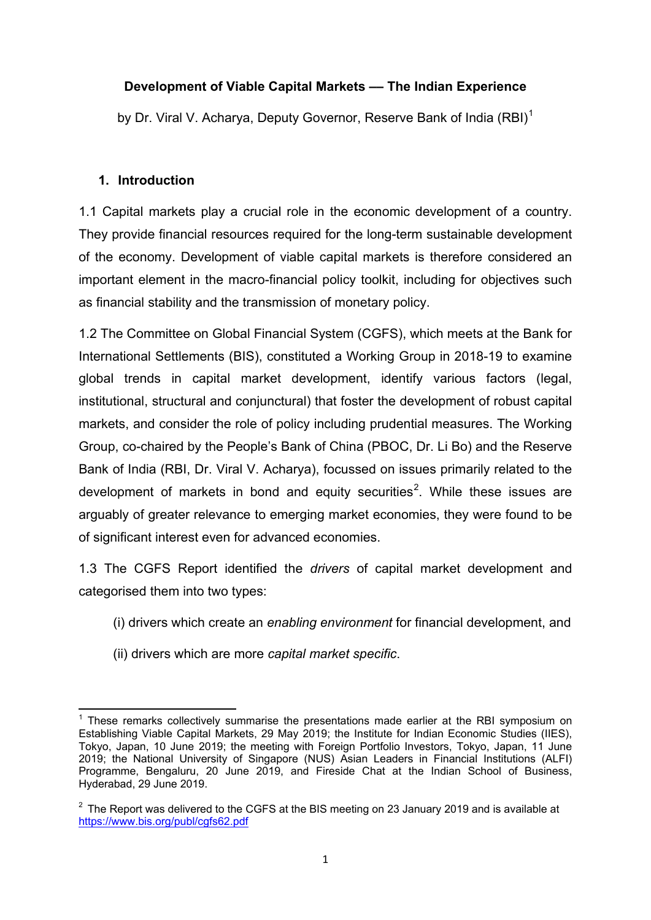# **Development of Viable Capital Markets –– The Indian Experience**

by Dr. Viral V. Acharya, Deputy Governor, Reserve Bank of India (RBI)<sup>[1](#page-0-0)</sup>

# **1. Introduction**

1.1 Capital markets play a crucial role in the economic development of a country. They provide financial resources required for the long-term sustainable development of the economy. Development of viable capital markets is therefore considered an important element in the macro-financial policy toolkit, including for objectives such as financial stability and the transmission of monetary policy.

1.2 The Committee on Global Financial System (CGFS), which meets at the Bank for International Settlements (BIS), constituted a Working Group in 2018-19 to examine global trends in capital market development, identify various factors (legal, institutional, structural and conjunctural) that foster the development of robust capital markets, and consider the role of policy including prudential measures. The Working Group, co-chaired by the People's Bank of China (PBOC, Dr. Li Bo) and the Reserve Bank of India (RBI, Dr. Viral V. Acharya), focussed on issues primarily related to the development of markets in bond and equity securities<sup>[2](#page-0-1)</sup>. While these issues are arguably of greater relevance to emerging market economies, they were found to be of significant interest even for advanced economies.

1.3 The CGFS Report identified the *drivers* of capital market development and categorised them into two types:

- (i) drivers which create an *enabling environment* for financial development, and
- (ii) drivers which are more *capital market specific*.

<span id="page-0-0"></span> $<sup>1</sup>$  These remarks collectively summarise the presentations made earlier at the RBI symposium on</sup> Establishing Viable Capital Markets, 29 May 2019; the Institute for Indian Economic Studies (IIES), Tokyo, Japan, 10 June 2019; the meeting with Foreign Portfolio Investors, Tokyo, Japan, 11 June 2019; the National University of Singapore (NUS) Asian Leaders in Financial Institutions (ALFI) Programme, Bengaluru, 20 June 2019, and Fireside Chat at the Indian School of Business, Hyderabad, 29 June 2019.

<span id="page-0-1"></span> $2\degree$  The Report was delivered to the CGFS at the BIS meeting on 23 January 2019 and is available at <https://www.bis.org/publ/cgfs62.pdf>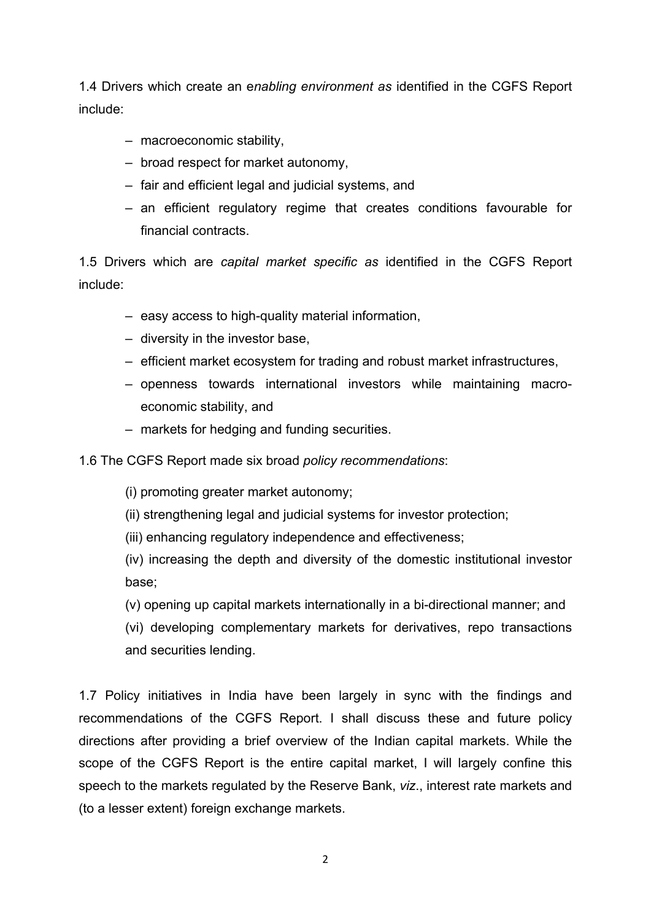1.4 Drivers which create an e*nabling environment as* identified in the CGFS Report include:

- macroeconomic stability,
- broad respect for market autonomy,
- fair and efficient legal and judicial systems, and
- an efficient regulatory regime that creates conditions favourable for financial contracts.

1.5 Drivers which are *capital market specific as* identified in the CGFS Report include:

- easy access to high-quality material information,
- diversity in the investor base,
- efficient market ecosystem for trading and robust market infrastructures,
- openness towards international investors while maintaining macroeconomic stability, and
- markets for hedging and funding securities.
- 1.6 The CGFS Report made six broad *policy recommendations*:
	- (i) promoting greater market autonomy;
	- (ii) strengthening legal and judicial systems for investor protection;
	- (iii) enhancing regulatory independence and effectiveness;

(iv) increasing the depth and diversity of the domestic institutional investor base;

- (v) opening up capital markets internationally in a bi-directional manner; and
- (vi) developing complementary markets for derivatives, repo transactions and securities lending.

1.7 Policy initiatives in India have been largely in sync with the findings and recommendations of the CGFS Report. I shall discuss these and future policy directions after providing a brief overview of the Indian capital markets. While the scope of the CGFS Report is the entire capital market, I will largely confine this speech to the markets regulated by the Reserve Bank, *viz*., interest rate markets and (to a lesser extent) foreign exchange markets.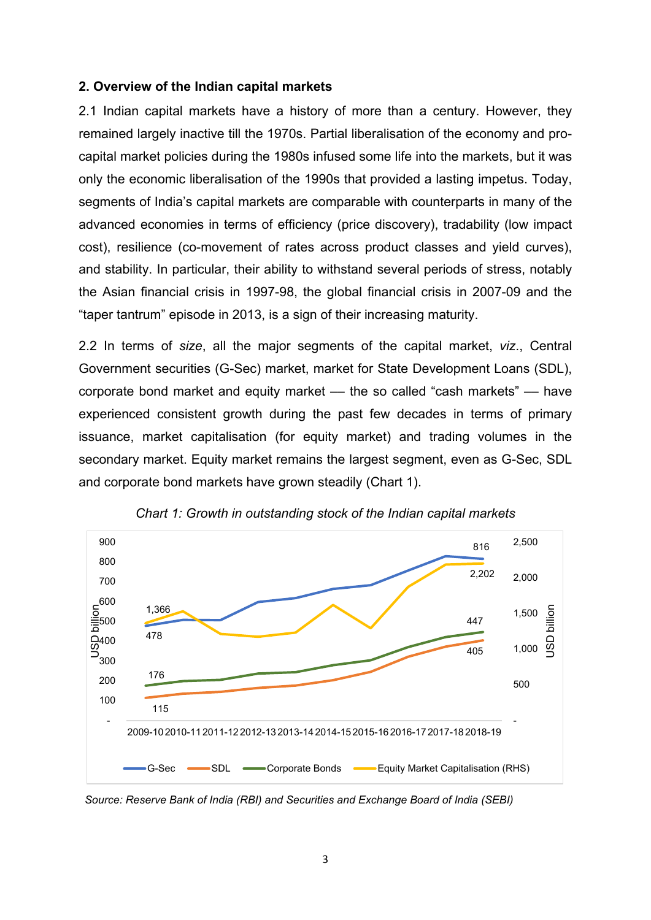#### **2. Overview of the Indian capital markets**

2.1 Indian capital markets have a history of more than a century. However, they remained largely inactive till the 1970s. Partial liberalisation of the economy and procapital market policies during the 1980s infused some life into the markets, but it was only the economic liberalisation of the 1990s that provided a lasting impetus. Today, segments of India's capital markets are comparable with counterparts in many of the advanced economies in terms of efficiency (price discovery), tradability (low impact cost), resilience (co-movement of rates across product classes and yield curves), and stability. In particular, their ability to withstand several periods of stress, notably the Asian financial crisis in 1997-98, the global financial crisis in 2007-09 and the "taper tantrum" episode in 2013, is a sign of their increasing maturity.

2.2 In terms of *size*, all the major segments of the capital market, *viz*., Central Government securities (G-Sec) market, market for State Development Loans (SDL), corporate bond market and equity market — the so called "cash markets" — have experienced consistent growth during the past few decades in terms of primary issuance, market capitalisation (for equity market) and trading volumes in the secondary market. Equity market remains the largest segment, even as G-Sec, SDL and corporate bond markets have grown steadily (Chart 1).



*Chart 1: Growth in outstanding stock of the Indian capital markets*

 *Source: Reserve Bank of India (RBI) and Securities and Exchange Board of India (SEBI)*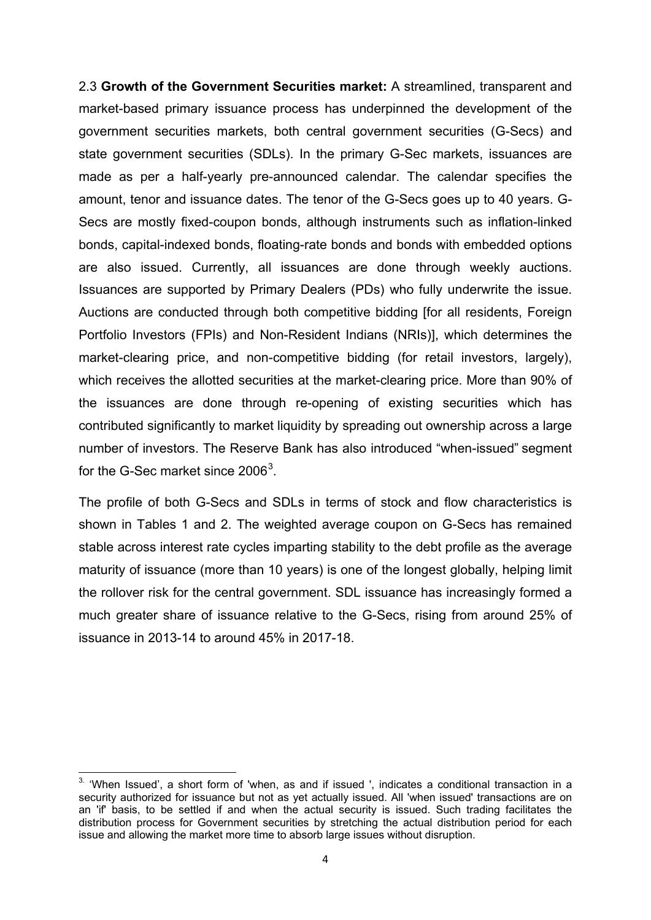2.3 **Growth of the Government Securities market:** A streamlined, transparent and market-based primary issuance process has underpinned the development of the government securities markets, both central government securities (G-Secs) and state government securities (SDLs). In the primary G-Sec markets, issuances are made as per a half-yearly pre-announced calendar. The calendar specifies the amount, tenor and issuance dates. The tenor of the G-Secs goes up to 40 years. G-Secs are mostly fixed-coupon bonds, although instruments such as inflation-linked bonds, capital-indexed bonds, floating-rate bonds and bonds with embedded options are also issued. Currently, all issuances are done through weekly auctions. Issuances are supported by Primary Dealers (PDs) who fully underwrite the issue. Auctions are conducted through both competitive bidding [for all residents, Foreign Portfolio Investors (FPIs) and Non-Resident Indians (NRIs)], which determines the market-clearing price, and non-competitive bidding (for retail investors, largely), which receives the allotted securities at the market-clearing price. More than 90% of the issuances are done through re-opening of existing securities which has contributed significantly to market liquidity by spreading out ownership across a large number of investors. The Reserve Bank has also introduced "when-issued" segment for the G-Sec market since  $2006<sup>3</sup>$  $2006<sup>3</sup>$  $2006<sup>3</sup>$ .

The profile of both G-Secs and SDLs in terms of stock and flow characteristics is shown in Tables 1 and 2. The weighted average coupon on G-Secs has remained stable across interest rate cycles imparting stability to the debt profile as the average maturity of issuance (more than 10 years) is one of the longest globally, helping limit the rollover risk for the central government. SDL issuance has increasingly formed a much greater share of issuance relative to the G-Secs, rising from around 25% of issuance in 2013-14 to around 45% in 2017-18.

<span id="page-3-0"></span> $3.$  'When Issued', a short form of 'when, as and if issued ', indicates a conditional transaction in a security authorized for issuance but not as yet actually issued. All 'when issued' transactions are on an 'if' basis, to be settled if and when the actual security is issued. Such trading facilitates the distribution process for Government securities by stretching the actual distribution period for each issue and allowing the market more time to absorb large issues without disruption.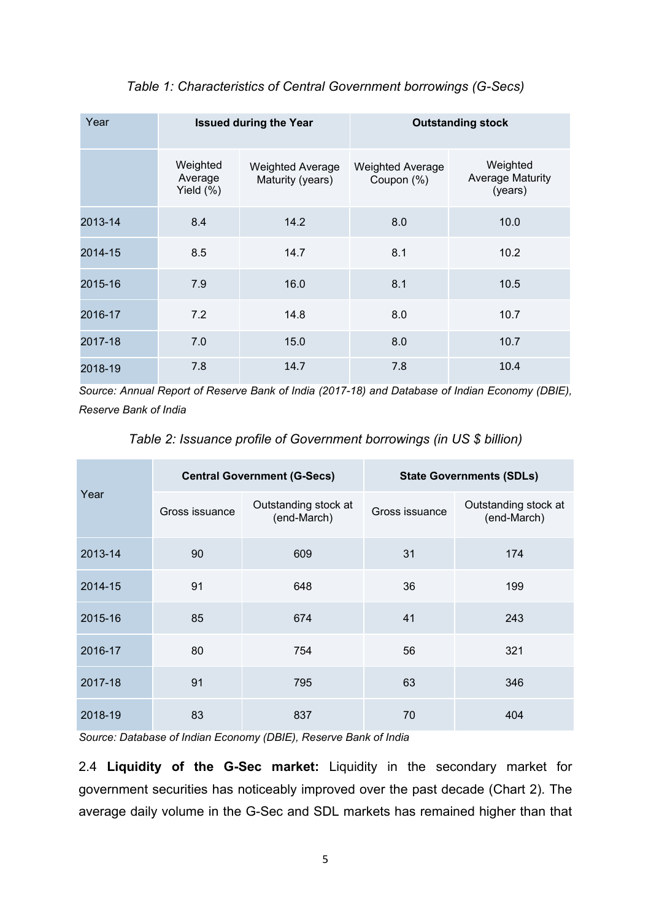| Year    | <b>Issued during the Year</b>       |                                             | <b>Outstanding stock</b>              |                                                |  |
|---------|-------------------------------------|---------------------------------------------|---------------------------------------|------------------------------------------------|--|
|         | Weighted<br>Average<br>Yield $(\%)$ | <b>Weighted Average</b><br>Maturity (years) | <b>Weighted Average</b><br>Coupon (%) | Weighted<br><b>Average Maturity</b><br>(years) |  |
| 2013-14 | 8.4                                 | 14.2                                        | 8.0                                   | 10.0                                           |  |
| 2014-15 | 8.5                                 | 14.7                                        | 8.1                                   | 10.2                                           |  |
| 2015-16 | 7.9                                 | 16.0                                        | 8.1                                   | 10.5                                           |  |
| 2016-17 | 7.2                                 | 14.8                                        | 8.0                                   | 10.7                                           |  |
| 2017-18 | 7.0                                 | 15.0                                        | 8.0                                   | 10.7                                           |  |
| 2018-19 | 7.8                                 | 14.7                                        | 7.8                                   | 10.4                                           |  |

## *Table 1: Characteristics of Central Government borrowings (G-Secs)*

*Source: Annual Report of Reserve Bank of India (2017-18) and Database of Indian Economy (DBIE), Reserve Bank of India*

|  | Table 2: Issuance profile of Government borrowings (in US \$ billion) |  |  |  |  |
|--|-----------------------------------------------------------------------|--|--|--|--|
|--|-----------------------------------------------------------------------|--|--|--|--|

| Year    | <b>Central Government (G-Secs)</b> |                                     | <b>State Governments (SDLs)</b> |                                     |  |
|---------|------------------------------------|-------------------------------------|---------------------------------|-------------------------------------|--|
|         | Gross issuance                     | Outstanding stock at<br>(end-March) | Gross issuance                  | Outstanding stock at<br>(end-March) |  |
| 2013-14 | 90                                 | 609                                 | 31                              | 174                                 |  |
| 2014-15 | 91                                 | 648                                 | 36                              | 199                                 |  |
| 2015-16 | 85                                 | 674                                 | 41                              | 243                                 |  |
| 2016-17 | 80                                 | 754                                 | 56                              | 321                                 |  |
| 2017-18 | 91                                 | 795                                 | 63                              | 346                                 |  |
| 2018-19 | 83                                 | 837                                 | 70                              | 404                                 |  |

*Source: Database of Indian Economy (DBIE), Reserve Bank of India*

2.4 **Liquidity of the G-Sec market:** Liquidity in the secondary market for government securities has noticeably improved over the past decade (Chart 2). The average daily volume in the G-Sec and SDL markets has remained higher than that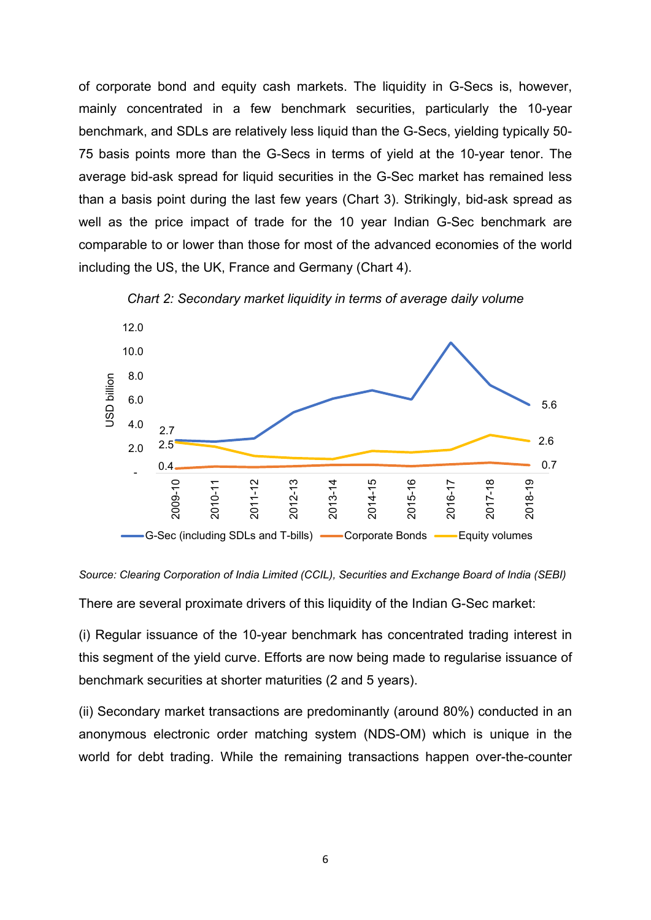of corporate bond and equity cash markets. The liquidity in G-Secs is, however, mainly concentrated in a few benchmark securities, particularly the 10-year benchmark, and SDLs are relatively less liquid than the G-Secs, yielding typically 50- 75 basis points more than the G-Secs in terms of yield at the 10-year tenor. The average bid-ask spread for liquid securities in the G-Sec market has remained less than a basis point during the last few years (Chart 3). Strikingly, bid-ask spread as well as the price impact of trade for the 10 year Indian G-Sec benchmark are comparable to or lower than those for most of the advanced economies of the world including the US, the UK, France and Germany (Chart 4).



*Chart 2: Secondary market liquidity in terms of average daily volume*

*Source: Clearing Corporation of India Limited (CCIL), Securities and Exchange Board of India (SEBI)*

There are several proximate drivers of this liquidity of the Indian G-Sec market:

(i) Regular issuance of the 10-year benchmark has concentrated trading interest in this segment of the yield curve. Efforts are now being made to regularise issuance of benchmark securities at shorter maturities (2 and 5 years).

(ii) Secondary market transactions are predominantly (around 80%) conducted in an anonymous electronic order matching system (NDS-OM) which is unique in the world for debt trading. While the remaining transactions happen over-the-counter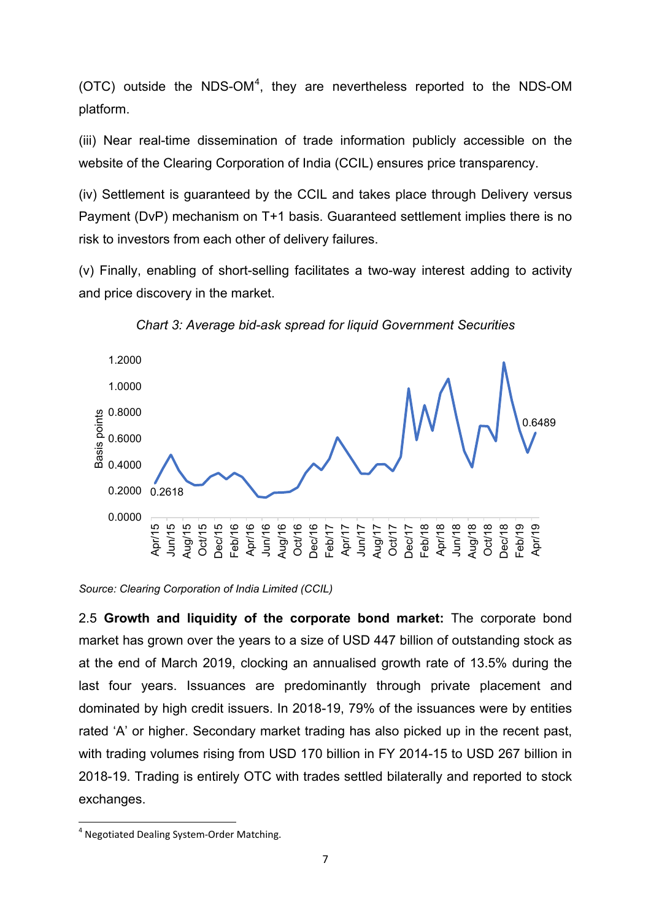(OTC) outside the NDS-OM<sup>[4](#page-6-0)</sup>, they are nevertheless reported to the NDS-OM platform.

(iii) Near real-time dissemination of trade information publicly accessible on the website of the Clearing Corporation of India (CCIL) ensures price transparency.

(iv) Settlement is guaranteed by the CCIL and takes place through Delivery versus Payment (DvP) mechanism on T+1 basis. Guaranteed settlement implies there is no risk to investors from each other of delivery failures.

(v) Finally, enabling of short-selling facilitates a two-way interest adding to activity and price discovery in the market.



*Chart 3: Average bid-ask spread for liquid Government Securities*

*Source: Clearing Corporation of India Limited (CCIL)*

2.5 **Growth and liquidity of the corporate bond market:** The corporate bond market has grown over the years to a size of USD 447 billion of outstanding stock as at the end of March 2019, clocking an annualised growth rate of 13.5% during the last four years. Issuances are predominantly through private placement and dominated by high credit issuers. In 2018-19, 79% of the issuances were by entities rated 'A' or higher. Secondary market trading has also picked up in the recent past, with trading volumes rising from USD 170 billion in FY 2014-15 to USD 267 billion in 2018-19. Trading is entirely OTC with trades settled bilaterally and reported to stock exchanges.

<span id="page-6-0"></span> <sup>4</sup> Negotiated Dealing System-Order Matching.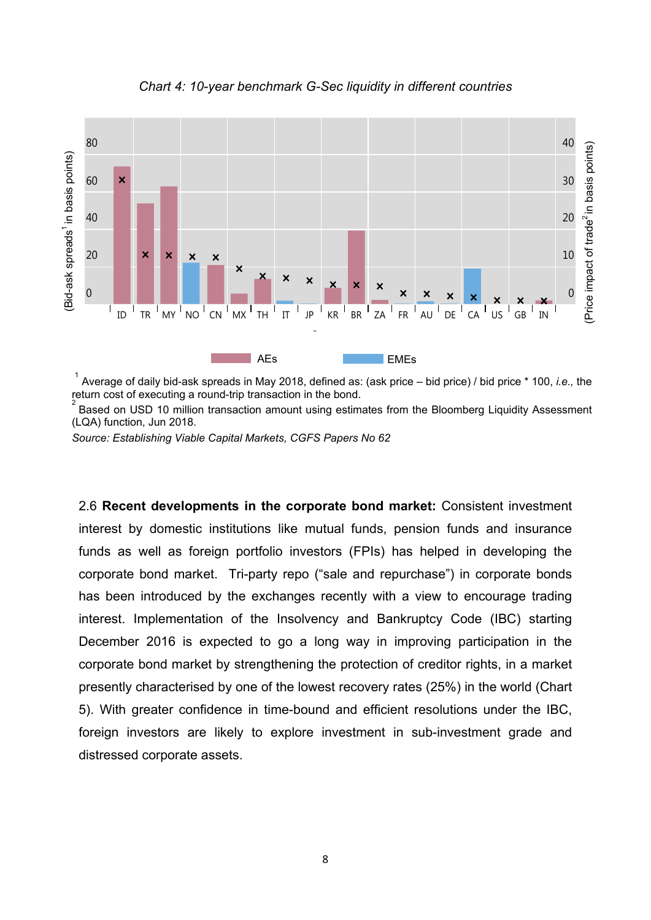

*Chart 4: 10-year benchmark G-Sec liquidity in different countries*

1 Average of daily bid-ask spreads in May 2018, defined as: (ask price – bid price) / bid price \* 100, *i.e.,* the return cost of executing a round-trip transaction in the bond. 2

Based on USD 10 million transaction amount using estimates from the Bloomberg Liquidity Assessment (LQA) function, Jun 2018.

*Source: Establishing Viable Capital Markets, CGFS Papers No 62*

2.6 **Recent developments in the corporate bond market:** Consistent investment interest by domestic institutions like mutual funds, pension funds and insurance funds as well as foreign portfolio investors (FPIs) has helped in developing the corporate bond market. Tri-party repo ("sale and repurchase") in corporate bonds has been introduced by the exchanges recently with a view to encourage trading interest. Implementation of the Insolvency and Bankruptcy Code (IBC) starting December 2016 is expected to go a long way in improving participation in the corporate bond market by strengthening the protection of creditor rights, in a market presently characterised by one of the lowest recovery rates (25%) in the world (Chart 5). With greater confidence in time-bound and efficient resolutions under the IBC, foreign investors are likely to explore investment in sub-investment grade and distressed corporate assets.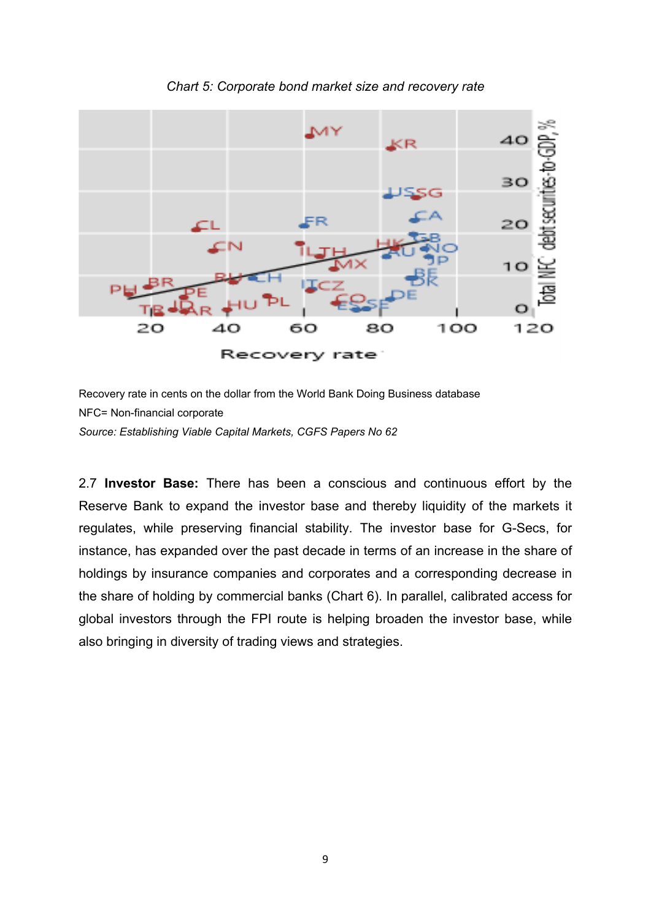

#### *Chart 5: Corporate bond market size and recovery rate*

Recovery rate in cents on the dollar from the World Bank Doing Business database NFC= Non-financial corporate *Source: Establishing Viable Capital Markets, CGFS Papers No 62*

2.7 **Investor Base:** There has been a conscious and continuous effort by the Reserve Bank to expand the investor base and thereby liquidity of the markets it regulates, while preserving financial stability. The investor base for G-Secs, for instance, has expanded over the past decade in terms of an increase in the share of holdings by insurance companies and corporates and a corresponding decrease in the share of holding by commercial banks (Chart 6). In parallel, calibrated access for global investors through the FPI route is helping broaden the investor base, while also bringing in diversity of trading views and strategies.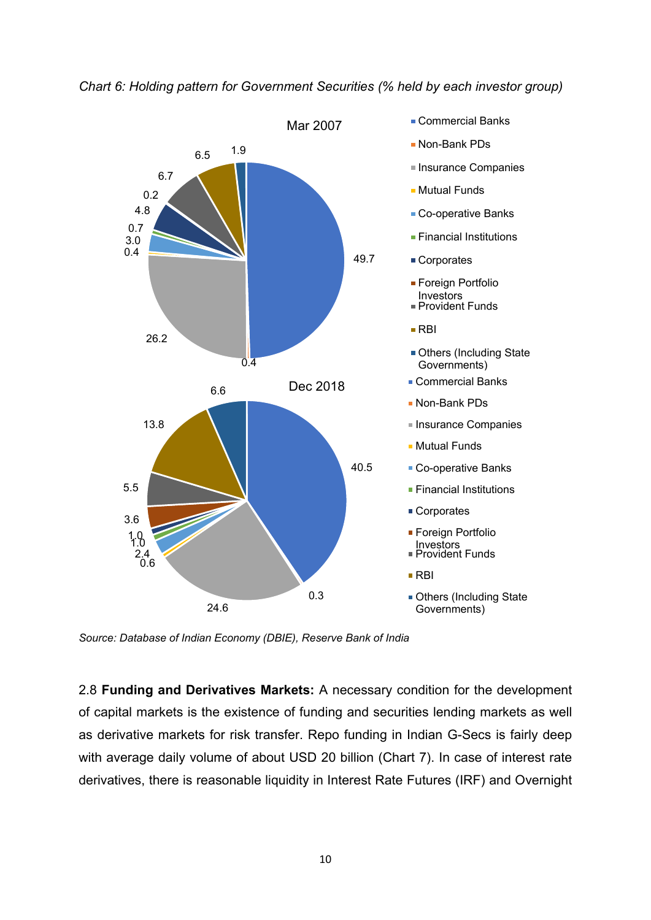

## *Chart 6: Holding pattern for Government Securities (% held by each investor group)*

*Source: Database of Indian Economy (DBIE), Reserve Bank of India*

2.8 **Funding and Derivatives Markets:** A necessary condition for the development of capital markets is the existence of funding and securities lending markets as well as derivative markets for risk transfer. Repo funding in Indian G-Secs is fairly deep with average daily volume of about USD 20 billion (Chart 7). In case of interest rate derivatives, there is reasonable liquidity in Interest Rate Futures (IRF) and Overnight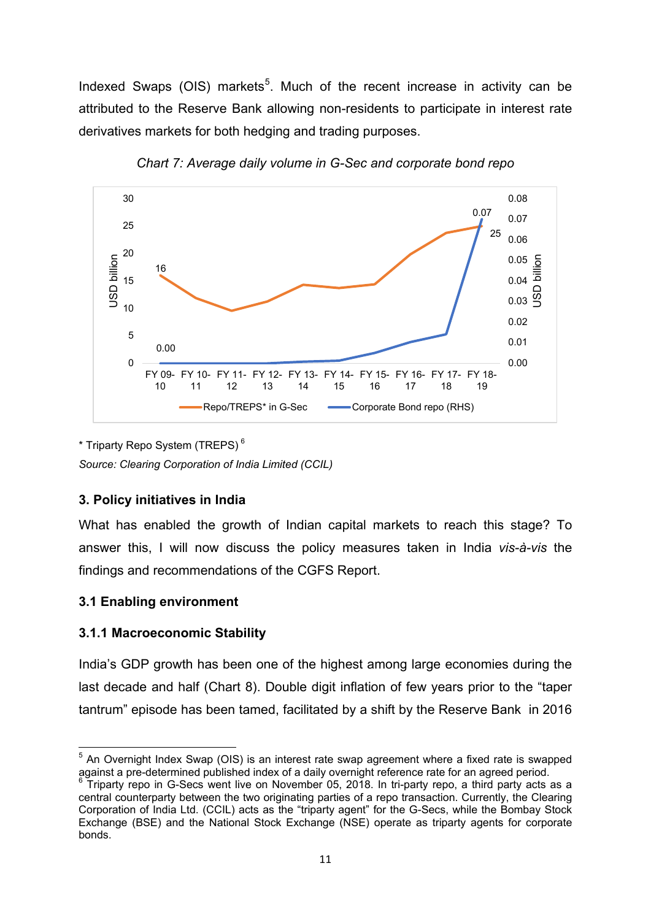Indexed Swaps (OIS) markets<sup>[5](#page-10-0)</sup>. Much of the recent increase in activity can be attributed to the Reserve Bank allowing non-residents to participate in interest rate derivatives markets for both hedging and trading purposes.



*Chart 7: Average daily volume in G-Sec and corporate bond repo*

\* Triparty Repo System (TREPS) [6](#page-10-1)

*Source: Clearing Corporation of India Limited (CCIL)*

# **3. Policy initiatives in India**

What has enabled the growth of Indian capital markets to reach this stage? To answer this, I will now discuss the policy measures taken in India *vis-à-vis* the findings and recommendations of the CGFS Report.

# **3.1 Enabling environment**

# **3.1.1 Macroeconomic Stability**

India's GDP growth has been one of the highest among large economies during the last decade and half (Chart 8). Double digit inflation of few years prior to the "taper tantrum" episode has been tamed, facilitated by a shift by the Reserve Bank in 2016

<span id="page-10-0"></span> $5$  An Overnight Index Swap (OIS) is an interest rate swap agreement where a fixed rate is swapped against a pre-determined published index of a daily overnight reference rate for an agreed period.

<span id="page-10-1"></span> $^3$  Triparty repo in G-Secs went live on November 05, 2018. In tri-party repo, a third party acts as a central counterparty between the two originating parties of a repo transaction. Currently, the Clearing Corporation of India Ltd. (CCIL) acts as the "triparty agent" for the G-Secs, while the Bombay Stock Exchange (BSE) and the National Stock Exchange (NSE) operate as triparty agents for corporate bonds.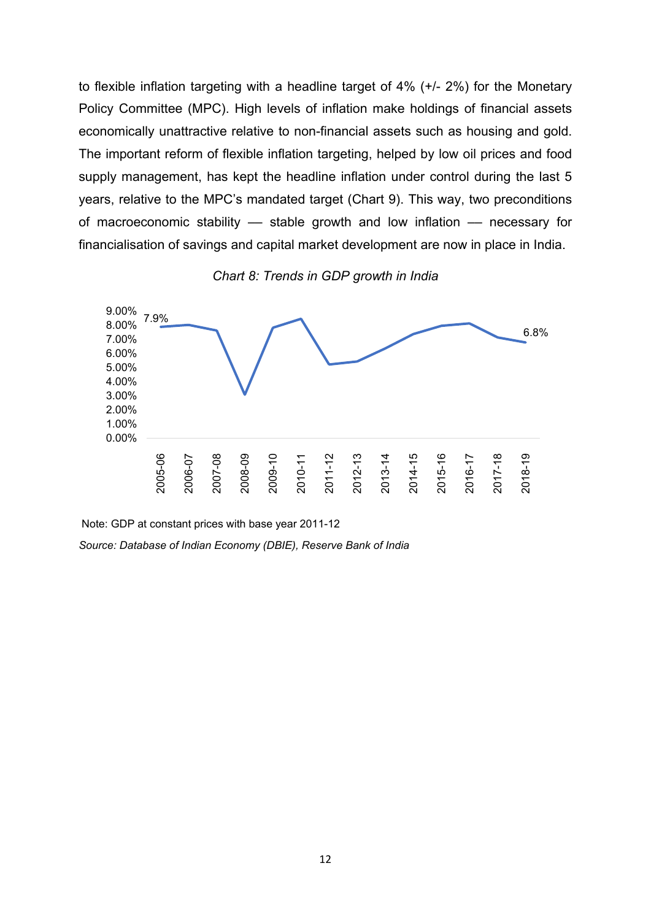to flexible inflation targeting with a headline target of 4% (+/- 2%) for the Monetary Policy Committee (MPC). High levels of inflation make holdings of financial assets economically unattractive relative to non-financial assets such as housing and gold. The important reform of flexible inflation targeting, helped by low oil prices and food supply management, has kept the headline inflation under control during the last 5 years, relative to the MPC's mandated target (Chart 9). This way, two preconditions of macroeconomic stability –– stable growth and low inflation –– necessary for financialisation of savings and capital market development are now in place in India.





Note: GDP at constant prices with base year 2011-12

*Source: Database of Indian Economy (DBIE), Reserve Bank of India*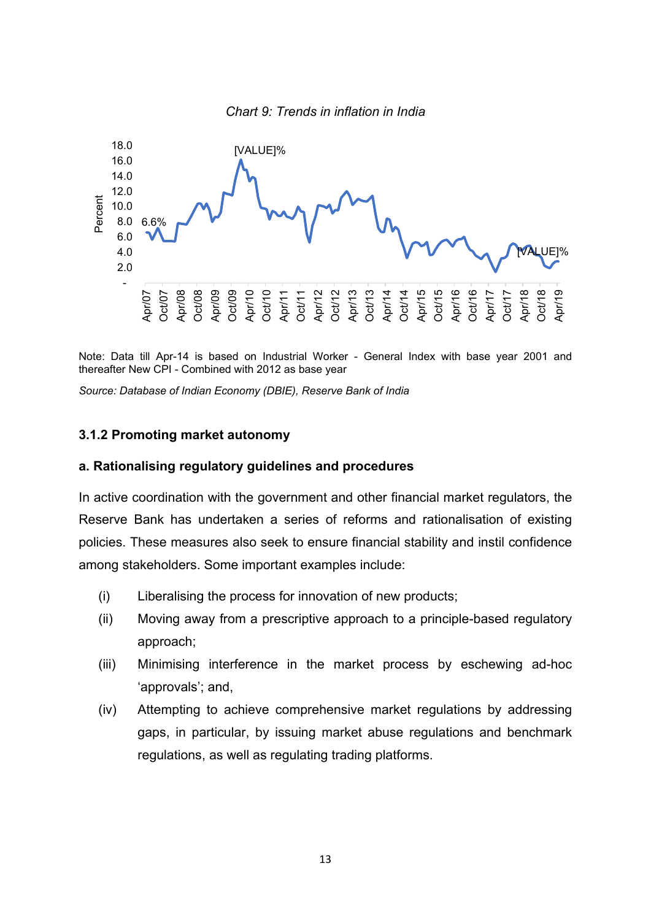

Note: Data till Apr-14 is based on Industrial Worker - General Index with base year 2001 and thereafter New CPI - Combined with 2012 as base year

*Source: Database of Indian Economy (DBIE), Reserve Bank of India*

#### **3.1.2 Promoting market autonomy**

#### **a. Rationalising regulatory guidelines and procedures**

In active coordination with the government and other financial market regulators, the Reserve Bank has undertaken a series of reforms and rationalisation of existing policies. These measures also seek to ensure financial stability and instil confidence among stakeholders. Some important examples include:

- (i) Liberalising the process for innovation of new products;
- (ii) Moving away from a prescriptive approach to a principle-based regulatory approach;
- (iii) Minimising interference in the market process by eschewing ad-hoc 'approvals'; and,
- (iv) Attempting to achieve comprehensive market regulations by addressing gaps, in particular, by issuing market abuse regulations and benchmark regulations, as well as regulating trading platforms.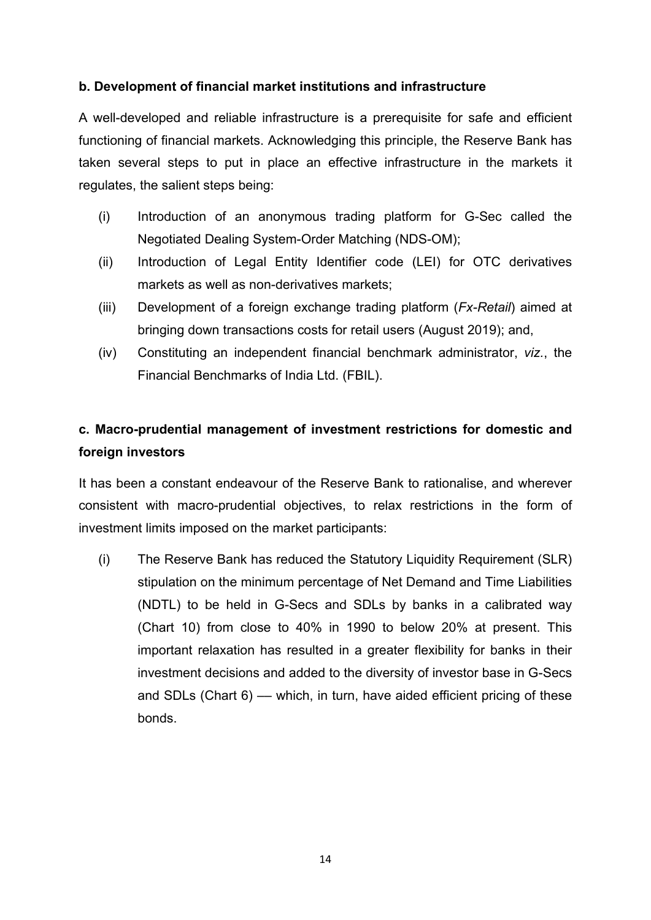# **b. Development of financial market institutions and infrastructure**

A well-developed and reliable infrastructure is a prerequisite for safe and efficient functioning of financial markets. Acknowledging this principle, the Reserve Bank has taken several steps to put in place an effective infrastructure in the markets it regulates, the salient steps being:

- (i) Introduction of an anonymous trading platform for G-Sec called the Negotiated Dealing System-Order Matching (NDS-OM);
- (ii) Introduction of Legal Entity Identifier code (LEI) for OTC derivatives markets as well as non-derivatives markets;
- (iii) Development of a foreign exchange trading platform (*Fx-Retail*) aimed at bringing down transactions costs for retail users (August 2019); and,
- (iv) Constituting an independent financial benchmark administrator, *viz.*, the Financial Benchmarks of India Ltd. (FBIL).

# **c. Macro-prudential management of investment restrictions for domestic and foreign investors**

It has been a constant endeavour of the Reserve Bank to rationalise, and wherever consistent with macro-prudential objectives, to relax restrictions in the form of investment limits imposed on the market participants:

(i) The Reserve Bank has reduced the Statutory Liquidity Requirement (SLR) stipulation on the minimum percentage of Net Demand and Time Liabilities (NDTL) to be held in G-Secs and SDLs by banks in a calibrated way (Chart 10) from close to 40% in 1990 to below 20% at present. This important relaxation has resulted in a greater flexibility for banks in their investment decisions and added to the diversity of investor base in G-Secs and SDLs (Chart 6) — which, in turn, have aided efficient pricing of these bonds.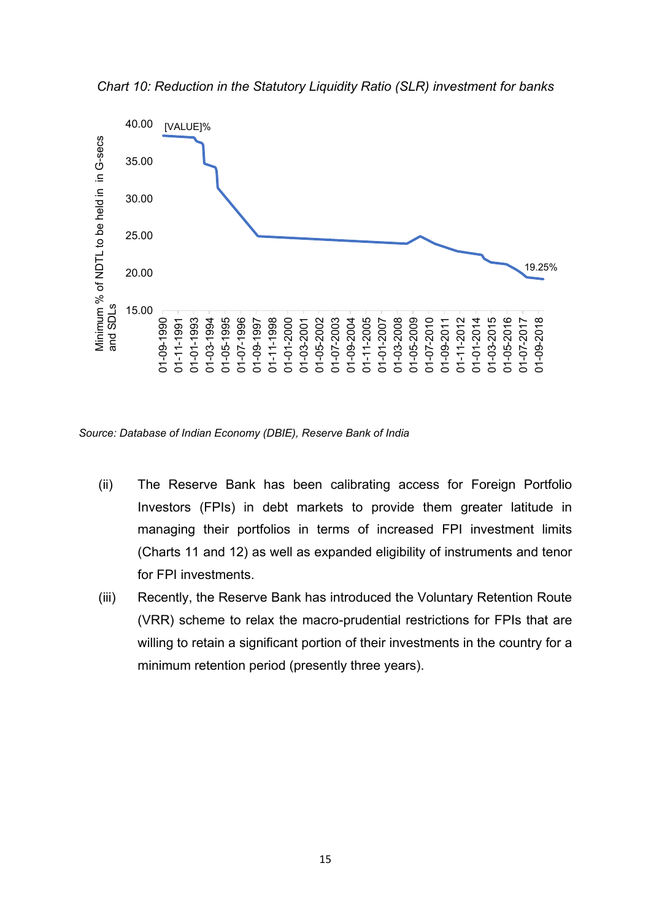

*Chart 10: Reduction in the Statutory Liquidity Ratio (SLR) investment for banks*

*Source: Database of Indian Economy (DBIE), Reserve Bank of India*

- (ii) The Reserve Bank has been calibrating access for Foreign Portfolio Investors (FPIs) in debt markets to provide them greater latitude in managing their portfolios in terms of increased FPI investment limits (Charts 11 and 12) as well as expanded eligibility of instruments and tenor for FPI investments.
- (iii) Recently, the Reserve Bank has introduced the Voluntary Retention Route (VRR) scheme to relax the macro-prudential restrictions for FPIs that are willing to retain a significant portion of their investments in the country for a minimum retention period (presently three years).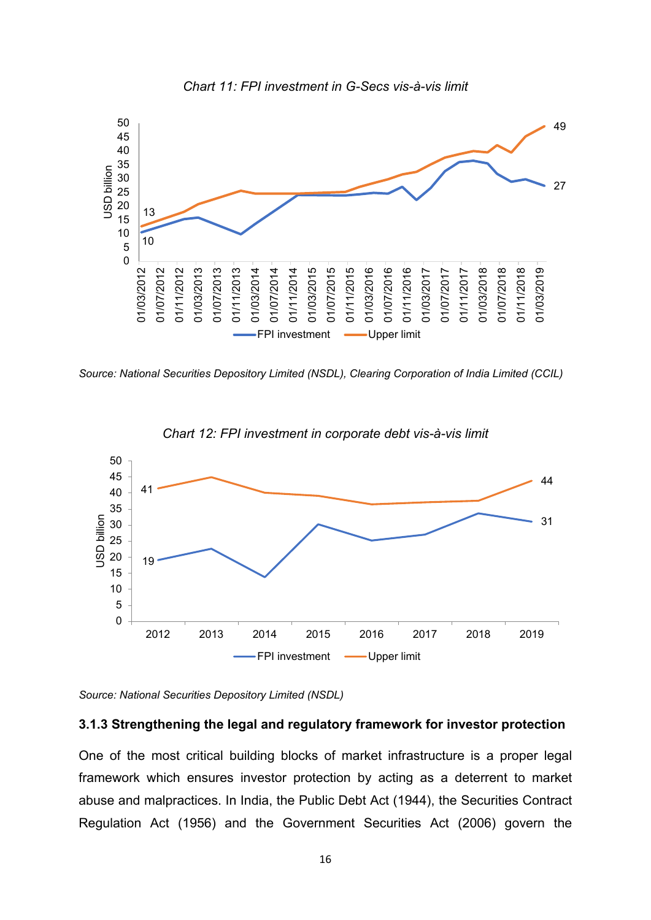



*Source: National Securities Depository Limited (NSDL), Clearing Corporation of India Limited (CCIL)*





*Source: National Securities Depository Limited (NSDL)*

#### **3.1.3 Strengthening the legal and regulatory framework for investor protection**

One of the most critical building blocks of market infrastructure is a proper legal framework which ensures investor protection by acting as a deterrent to market abuse and malpractices. In India, the Public Debt Act (1944), the Securities Contract Regulation Act (1956) and the Government Securities Act (2006) govern the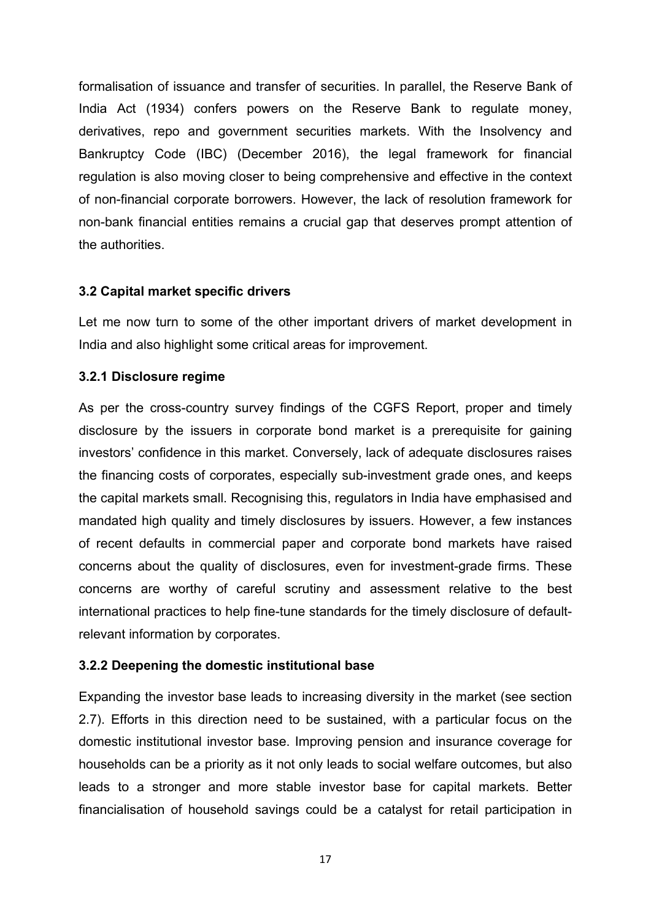formalisation of issuance and transfer of securities. In parallel, the Reserve Bank of India Act (1934) confers powers on the Reserve Bank to regulate money, derivatives, repo and government securities markets. With the Insolvency and Bankruptcy Code (IBC) (December 2016), the legal framework for financial regulation is also moving closer to being comprehensive and effective in the context of non-financial corporate borrowers. However, the lack of resolution framework for non-bank financial entities remains a crucial gap that deserves prompt attention of the authorities.

## **3.2 Capital market specific drivers**

Let me now turn to some of the other important drivers of market development in India and also highlight some critical areas for improvement.

## **3.2.1 Disclosure regime**

As per the cross-country survey findings of the CGFS Report, proper and timely disclosure by the issuers in corporate bond market is a prerequisite for gaining investors' confidence in this market. Conversely, lack of adequate disclosures raises the financing costs of corporates, especially sub-investment grade ones, and keeps the capital markets small. Recognising this, regulators in India have emphasised and mandated high quality and timely disclosures by issuers. However, a few instances of recent defaults in commercial paper and corporate bond markets have raised concerns about the quality of disclosures, even for investment-grade firms. These concerns are worthy of careful scrutiny and assessment relative to the best international practices to help fine-tune standards for the timely disclosure of defaultrelevant information by corporates.

# **3.2.2 Deepening the domestic institutional base**

Expanding the investor base leads to increasing diversity in the market (see section 2.7). Efforts in this direction need to be sustained, with a particular focus on the domestic institutional investor base. Improving pension and insurance coverage for households can be a priority as it not only leads to social welfare outcomes, but also leads to a stronger and more stable investor base for capital markets. Better financialisation of household savings could be a catalyst for retail participation in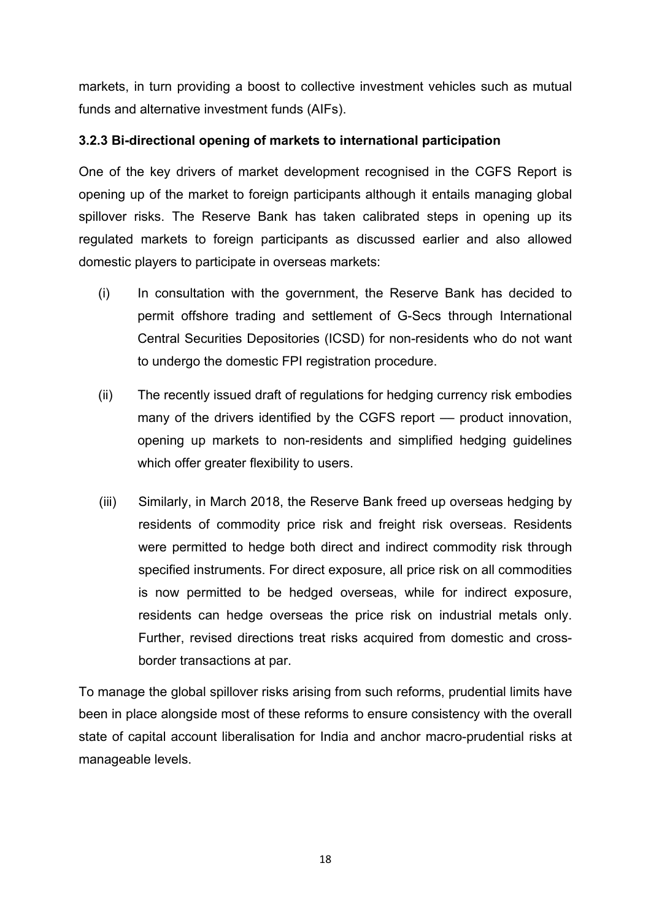markets, in turn providing a boost to collective investment vehicles such as mutual funds and alternative investment funds (AIFs).

# **3.2.3 Bi-directional opening of markets to international participation**

One of the key drivers of market development recognised in the CGFS Report is opening up of the market to foreign participants although it entails managing global spillover risks. The Reserve Bank has taken calibrated steps in opening up its regulated markets to foreign participants as discussed earlier and also allowed domestic players to participate in overseas markets:

- (i) In consultation with the government, the Reserve Bank has decided to permit offshore trading and settlement of G-Secs through International Central Securities Depositories (ICSD) for non-residents who do not want to undergo the domestic FPI registration procedure.
- (ii) The recently issued draft of regulations for hedging currency risk embodies many of the drivers identified by the CGFS report — product innovation, opening up markets to non-residents and simplified hedging guidelines which offer greater flexibility to users.
- (iii) Similarly, in March 2018, the Reserve Bank freed up overseas hedging by residents of commodity price risk and freight risk overseas. Residents were permitted to hedge both direct and indirect commodity risk through specified instruments. For direct exposure, all price risk on all commodities is now permitted to be hedged overseas, while for indirect exposure, residents can hedge overseas the price risk on industrial metals only. Further, revised directions treat risks acquired from domestic and crossborder transactions at par.

To manage the global spillover risks arising from such reforms, prudential limits have been in place alongside most of these reforms to ensure consistency with the overall state of capital account liberalisation for India and anchor macro-prudential risks at manageable levels.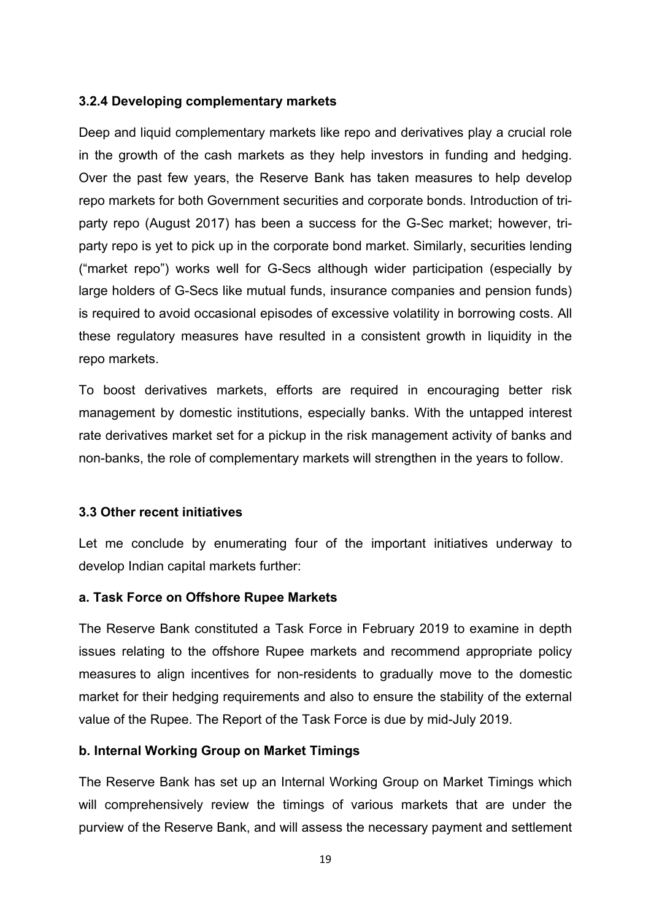## **3.2.4 Developing complementary markets**

Deep and liquid complementary markets like repo and derivatives play a crucial role in the growth of the cash markets as they help investors in funding and hedging. Over the past few years, the Reserve Bank has taken measures to help develop repo markets for both Government securities and corporate bonds. Introduction of triparty repo (August 2017) has been a success for the G-Sec market; however, triparty repo is yet to pick up in the corporate bond market. Similarly, securities lending ("market repo") works well for G-Secs although wider participation (especially by large holders of G-Secs like mutual funds, insurance companies and pension funds) is required to avoid occasional episodes of excessive volatility in borrowing costs. All these regulatory measures have resulted in a consistent growth in liquidity in the repo markets.

To boost derivatives markets, efforts are required in encouraging better risk management by domestic institutions, especially banks. With the untapped interest rate derivatives market set for a pickup in the risk management activity of banks and non-banks, the role of complementary markets will strengthen in the years to follow.

# **3.3 Other recent initiatives**

Let me conclude by enumerating four of the important initiatives underway to develop Indian capital markets further:

## **a. Task Force on Offshore Rupee Markets**

The Reserve Bank constituted a Task Force in February 2019 to examine in depth issues relating to the offshore Rupee markets and recommend appropriate policy measures to align incentives for non-residents to gradually move to the domestic market for their hedging requirements and also to ensure the stability of the external value of the Rupee. The Report of the Task Force is due by mid-July 2019.

# **b. Internal Working Group on Market Timings**

The Reserve Bank has set up an Internal Working Group on Market Timings which will comprehensively review the timings of various markets that are under the purview of the Reserve Bank, and will assess the necessary payment and settlement